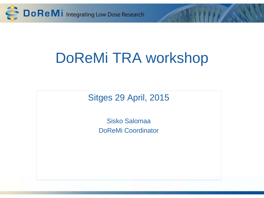

# DoReMi TRA workshop

Sitges 29 April, 2015

Sisko Salomaa DoReMi Coordinator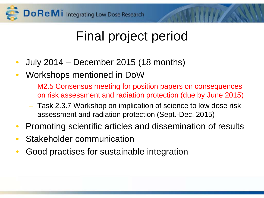

### Final project period

- July 2014 December 2015 (18 months)
- Workshops mentioned in DoW
	- M2.5 Consensus meeting for position papers on consequences on risk assessment and radiation protection (due by June 2015)
	- Task 2.3.7 Workshop on implication of science to low dose risk assessment and radiation protection (Sept.-Dec. 2015)
- Promoting scientific articles and dissemination of results
- Stakeholder communication
- Good practises for sustainable integration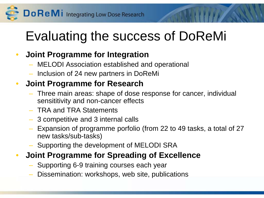Do ReMI Integrating Low Dose Research

### Evaluating the success of DoReMi

#### • **Joint Programme for Integration**

- MELODI Association established and operational
- Inclusion of 24 new partners in DoReMi

#### • **Joint Programme for Research**

- Three main areas: shape of dose response for cancer, individual sensititivity and non-cancer effects
- TRA and TRA Statements
- 3 competitive and 3 internal calls
- Expansion of programme porfolio (from 22 to 49 tasks, a total of 27 new tasks/sub-tasks)
- Supporting the development of MELODI SRA

#### • **Joint Programme for Spreading of Excellence**

- Supporting 6-9 training courses each year
- Dissemination: workshops, web site, publications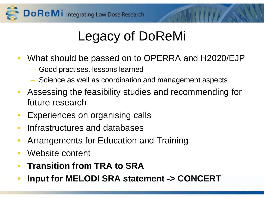

## Legacy of DoReMi

- What should be passed on to OPERRA and H2020/EJP
	- Good practises, lessons learned
	- Science as well as coordination and management aspects
- Assessing the feasibility studies and recommending for future research
- Experiences on organising calls
- Infrastructures and databases
- Arrangements for Education and Training
- Website content
- **Transition from TRA to SRA**
- **Input for MELODI SRA statement -> CONCERT**